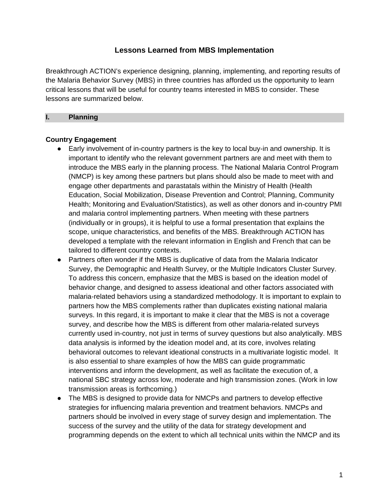## **Lessons Learned from MBS Implementation**

Breakthrough ACTION's experience designing, planning, implementing, and reporting results of the Malaria Behavior Survey (MBS) in three countries has afforded us the opportunity to learn critical lessons that will be useful for country teams interested in MBS to consider. These lessons are summarized below.

#### **I. Planning**

### **Country Engagement**

- Early involvement of in-country partners is the key to local buy-in and ownership. It is important to identify who the relevant government partners are and meet with them to introduce the MBS early in the planning process. The National Malaria Control Program (NMCP) is key among these partners but plans should also be made to meet with and engage other departments and parastatals within the Ministry of Health (Health Education, Social Mobilization, Disease Prevention and Control; Planning, Community Health; Monitoring and Evaluation/Statistics), as well as other donors and in-country PMI and malaria control implementing partners. When meeting with these partners (individually or in groups), it is helpful to use a formal presentation that explains the scope, unique characteristics, and benefits of the MBS. Breakthrough ACTION has developed a template with the relevant information in English and French that can be tailored to different country contexts.
- Partners often wonder if the MBS is duplicative of data from the Malaria Indicator Survey, the Demographic and Health Survey, or the Multiple Indicators Cluster Survey. To address this concern, emphasize that the MBS is based on the ideation model of behavior change, and designed to assess ideational and other factors associated with malaria-related behaviors using a standardized methodology. It is important to explain to partners how the MBS complements rather than duplicates existing national malaria surveys. In this regard, it is important to make it clear that the MBS is not a coverage survey, and describe how the MBS is different from other malaria-related surveys currently used in-country, not just in terms of survey questions but also analytically. MBS data analysis is informed by the ideation model and, at its core, involves relating behavioral outcomes to relevant ideational constructs in a multivariate logistic model. It is also essential to share examples of how the MBS can guide programmatic interventions and inform the development, as well as facilitate the execution of, a national SBC strategy across low, moderate and high transmission zones. (Work in low transmission areas is forthcoming.)
- The MBS is designed to provide data for NMCPs and partners to develop effective strategies for influencing malaria prevention and treatment behaviors. NMCPs and partners should be involved in every stage of survey design and implementation. The success of the survey and the utility of the data for strategy development and programming depends on the extent to which all technical units within the NMCP and its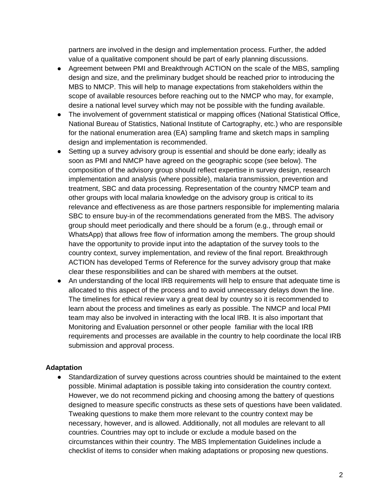partners are involved in the design and implementation process. Further, the added value of a qualitative component should be part of early planning discussions.

- Agreement between PMI and Breakthrough ACTION on the scale of the MBS, sampling design and size, and the preliminary budget should be reached prior to introducing the MBS to NMCP. This will help to manage expectations from stakeholders within the scope of available resources before reaching out to the NMCP who may, for example, desire a national level survey which may not be possible with the funding available.
- The involvement of government statistical or mapping offices (National Statistical Office, National Bureau of Statistics, National Institute of Cartography, etc.) who are responsible for the national enumeration area (EA) sampling frame and sketch maps in sampling design and implementation is recommended.
- Setting up a survey advisory group is essential and should be done early; ideally as soon as PMI and NMCP have agreed on the geographic scope (see below). The composition of the advisory group should reflect expertise in survey design, research implementation and analysis (where possible), malaria transmission, prevention and treatment, SBC and data processing. Representation of the country NMCP team and other groups with local malaria knowledge on the advisory group is critical to its relevance and effectiveness as are those partners responsible for implementing malaria SBC to ensure buy-in of the recommendations generated from the MBS. The advisory group should meet periodically and there should be a forum (e.g., through email or WhatsApp) that allows free flow of information among the members. The group should have the opportunity to provide input into the adaptation of the survey tools to the country context, survey implementation, and review of the final report. Breakthrough ACTION has developed Terms of Reference for the survey advisory group that make clear these responsibilities and can be shared with members at the outset.
- An understanding of the local IRB requirements will help to ensure that adequate time is allocated to this aspect of the process and to avoid unnecessary delays down the line. The timelines for ethical review vary a great deal by country so it is recommended to learn about the process and timelines as early as possible. The NMCP and local PMI team may also be involved in interacting with the local IRB. It is also important that Monitoring and Evaluation personnel or other people familiar with the local IRB requirements and processes are available in the country to help coordinate the local IRB submission and approval process.

### **Adaptation**

● Standardization of survey questions across countries should be maintained to the extent possible. Minimal adaptation is possible taking into consideration the country context. However, we do not recommend picking and choosing among the battery of questions designed to measure specific constructs as these sets of questions have been validated. Tweaking questions to make them more relevant to the country context may be necessary, however, and is allowed. Additionally, not all modules are relevant to all countries. Countries may opt to include or exclude a module based on the circumstances within their country. The MBS Implementation Guidelines include a checklist of items to consider when making adaptations or proposing new questions.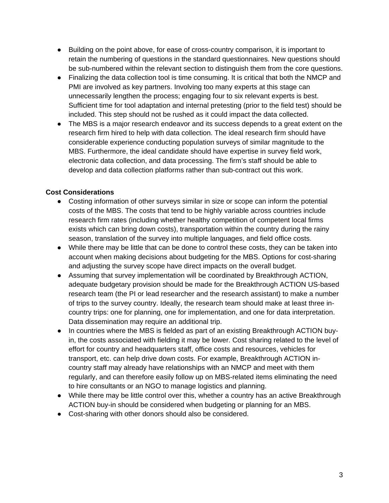- Building on the point above, for ease of cross-country comparison, it is important to retain the numbering of questions in the standard questionnaires. New questions should be sub-numbered within the relevant section to distinguish them from the core questions.
- Finalizing the data collection tool is time consuming. It is critical that both the NMCP and PMI are involved as key partners. Involving too many experts at this stage can unnecessarily lengthen the process; engaging four to six relevant experts is best. Sufficient time for tool adaptation and internal pretesting (prior to the field test) should be included. This step should not be rushed as it could impact the data collected.
- The MBS is a major research endeavor and its success depends to a great extent on the research firm hired to help with data collection. The ideal research firm should have considerable experience conducting population surveys of similar magnitude to the MBS. Furthermore, the ideal candidate should have expertise in survey field work, electronic data collection, and data processing. The firm's staff should be able to develop and data collection platforms rather than sub-contract out this work.

## **Cost Considerations**

- Costing information of other surveys similar in size or scope can inform the potential costs of the MBS. The costs that tend to be highly variable across countries include research firm rates (including whether healthy competition of competent local firms exists which can bring down costs), transportation within the country during the rainy season, translation of the survey into multiple languages, and field office costs.
- While there may be little that can be done to control these costs, they can be taken into account when making decisions about budgeting for the MBS. Options for cost-sharing and adjusting the survey scope have direct impacts on the overall budget.
- Assuming that survey implementation will be coordinated by Breakthrough ACTION, adequate budgetary provision should be made for the Breakthrough ACTION US-based research team (the PI or lead researcher and the research assistant) to make a number of trips to the survey country. Ideally, the research team should make at least three incountry trips: one for planning, one for implementation, and one for data interpretation. Data dissemination may require an additional trip.
- In countries where the MBS is fielded as part of an existing Breakthrough ACTION buyin, the costs associated with fielding it may be lower. Cost sharing related to the level of effort for country and headquarters staff, office costs and resources, vehicles for transport, etc. can help drive down costs. For example, Breakthrough ACTION incountry staff may already have relationships with an NMCP and meet with them regularly, and can therefore easily follow up on MBS-related items eliminating the need to hire consultants or an NGO to manage logistics and planning.
- While there may be little control over this, whether a country has an active Breakthrough ACTION buy-in should be considered when budgeting or planning for an MBS.
- Cost-sharing with other donors should also be considered.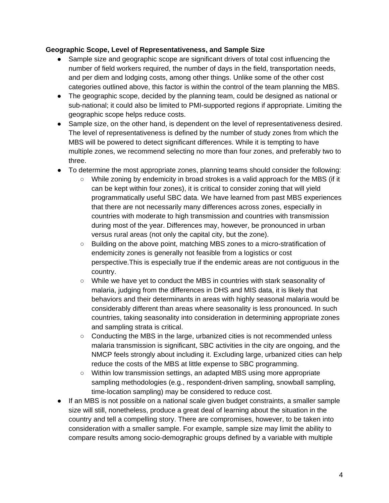### **Geographic Scope, Level of Representativeness, and Sample Size**

- Sample size and geographic scope are significant drivers of total cost influencing the number of field workers required, the number of days in the field, transportation needs, and per diem and lodging costs, among other things. Unlike some of the other cost categories outlined above, this factor is within the control of the team planning the MBS.
- The geographic scope, decided by the planning team, could be designed as national or sub-national; it could also be limited to PMI-supported regions if appropriate. Limiting the geographic scope helps reduce costs.
- Sample size, on the other hand, is dependent on the level of representativeness desired. The level of representativeness is defined by the number of study zones from which the MBS will be powered to detect significant differences. While it is tempting to have multiple zones, we recommend selecting no more than four zones, and preferably two to three.
- To determine the most appropriate zones, planning teams should consider the following:
	- While zoning by endemicity in broad strokes is a valid approach for the MBS (if it can be kept within four zones), it is critical to consider zoning that will yield programmatically useful SBC data. We have learned from past MBS experiences that there are not necessarily many differences across zones, especially in countries with moderate to high transmission and countries with transmission during most of the year. Differences may, however, be pronounced in urban versus rural areas (not only the capital city, but the zone).
	- Building on the above point, matching MBS zones to a micro-stratification of endemicity zones is generally not feasible from a logistics or cost perspective.This is especially true if the endemic areas are not contiguous in the country.
	- While we have yet to conduct the MBS in countries with stark seasonality of malaria, judging from the differences in DHS and MIS data, it is likely that behaviors and their determinants in areas with highly seasonal malaria would be considerably different than areas where seasonality is less pronounced. In such countries, taking seasonality into consideration in determining appropriate zones and sampling strata is critical.
	- Conducting the MBS in the large, urbanized cities is not recommended unless malaria transmission is significant, SBC activities in the city are ongoing, and the NMCP feels strongly about including it. Excluding large, urbanized cities can help reduce the costs of the MBS at little expense to SBC programming.
	- Within low transmission settings, an adapted MBS using more appropriate sampling methodologies (e.g., respondent-driven sampling, snowball sampling, time-location sampling) may be considered to reduce cost.
- If an MBS is not possible on a national scale given budget constraints, a smaller sample size will still, nonetheless, produce a great deal of learning about the situation in the country and tell a compelling story. There are compromises, however, to be taken into consideration with a smaller sample. For example, sample size may limit the ability to compare results among socio-demographic groups defined by a variable with multiple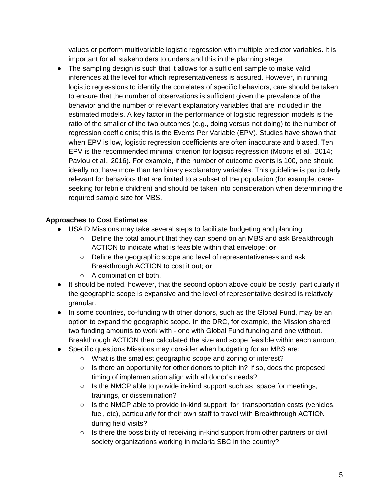values or perform multivariable logistic regression with multiple predictor variables. It is important for all stakeholders to understand this in the planning stage.

● The sampling design is such that it allows for a sufficient sample to make valid inferences at the level for which representativeness is assured. However, in running logistic regressions to identify the correlates of specific behaviors, care should be taken to ensure that the number of observations is sufficient given the prevalence of the behavior and the number of relevant explanatory variables that are included in the estimated models. A key factor in the performance of logistic regression models is the ratio of the smaller of the two outcomes (e.g., doing versus not doing) to the number of regression coefficients; this is the Events Per Variable (EPV). Studies have shown that when EPV is low, logistic regression coefficients are often inaccurate and biased. Ten EPV is the recommended minimal criterion for logistic regression (Moons et al., 2014; Pavlou et al., 2016). For example, if the number of outcome events is 100, one should ideally not have more than ten binary explanatory variables. This guideline is particularly relevant for behaviors that are limited to a subset of the population (for example, careseeking for febrile children) and should be taken into consideration when determining the required sample size for MBS.

# **Approaches to Cost Estimates**

- USAID Missions may take several steps to facilitate budgeting and planning:
	- Define the total amount that they can spend on an MBS and ask Breakthrough ACTION to indicate what is feasible within that envelope; **or**
	- Define the geographic scope and level of representativeness and ask Breakthrough ACTION to cost it out; **or**
	- A combination of both.
- It should be noted, however, that the second option above could be costly, particularly if the geographic scope is expansive and the level of representative desired is relatively granular.
- In some countries, co-funding with other donors, such as the Global Fund, may be an option to expand the geographic scope. In the DRC, for example, the Mission shared two funding amounts to work with - one with Global Fund funding and one without. Breakthrough ACTION then calculated the size and scope feasible within each amount.
- Specific questions Missions may consider when budgeting for an MBS are:
	- What is the smallest geographic scope and zoning of interest?
	- Is there an opportunity for other donors to pitch in? If so, does the proposed timing of implementation align with all donor's needs?
	- Is the NMCP able to provide in-kind support such as space for meetings, trainings, or dissemination?
	- Is the NMCP able to provide in-kind support for transportation costs (vehicles, fuel, etc), particularly for their own staff to travel with Breakthrough ACTION during field visits?
	- Is there the possibility of receiving in-kind support from other partners or civil society organizations working in malaria SBC in the country?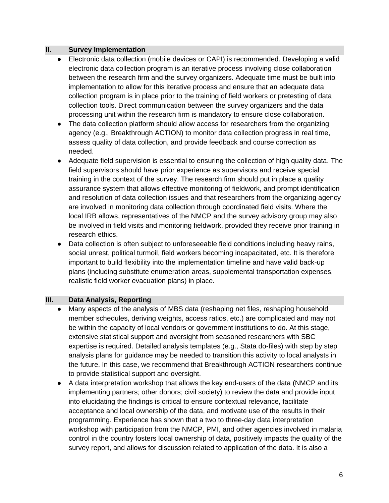### **II. Survey Implementation**

- Electronic data collection (mobile devices or CAPI) is recommended. Developing a valid electronic data collection program is an iterative process involving close collaboration between the research firm and the survey organizers. Adequate time must be built into implementation to allow for this iterative process and ensure that an adequate data collection program is in place prior to the training of field workers or pretesting of data collection tools. Direct communication between the survey organizers and the data processing unit within the research firm is mandatory to ensure close collaboration.
- The data collection platform should allow access for researchers from the organizing agency (e.g., Breakthrough ACTION) to monitor data collection progress in real time, assess quality of data collection, and provide feedback and course correction as needed.
- Adequate field supervision is essential to ensuring the collection of high quality data. The field supervisors should have prior experience as supervisors and receive special training in the context of the survey. The research firm should put in place a quality assurance system that allows effective monitoring of fieldwork, and prompt identification and resolution of data collection issues and that researchers from the organizing agency are involved in monitoring data collection through coordinated field visits. Where the local IRB allows, representatives of the NMCP and the survey advisory group may also be involved in field visits and monitoring fieldwork, provided they receive prior training in research ethics.
- Data collection is often subject to unforeseeable field conditions including heavy rains, social unrest, political turmoil, field workers becoming incapacitated, etc. It is therefore important to build flexibility into the implementation timeline and have valid back-up plans (including substitute enumeration areas, supplemental transportation expenses, realistic field worker evacuation plans) in place.

### **III. Data Analysis, Reporting**

- Many aspects of the analysis of MBS data (reshaping net files, reshaping household member schedules, deriving weights, access ratios, etc.) are complicated and may not be within the capacity of local vendors or government institutions to do. At this stage, extensive statistical support and oversight from seasoned researchers with SBC expertise is required. Detailed analysis templates (e.g., Stata do-files) with step by step analysis plans for guidance may be needed to transition this activity to local analysts in the future. In this case, we recommend that Breakthrough ACTION researchers continue to provide statistical support and oversight.
- A data interpretation workshop that allows the key end-users of the data (NMCP and its implementing partners; other donors; civil society) to review the data and provide input into elucidating the findings is critical to ensure contextual relevance, facilitate acceptance and local ownership of the data, and motivate use of the results in their programming. Experience has shown that a two to three-day data interpretation workshop with participation from the NMCP, PMI, and other agencies involved in malaria control in the country fosters local ownership of data, positively impacts the quality of the survey report, and allows for discussion related to application of the data. It is also a